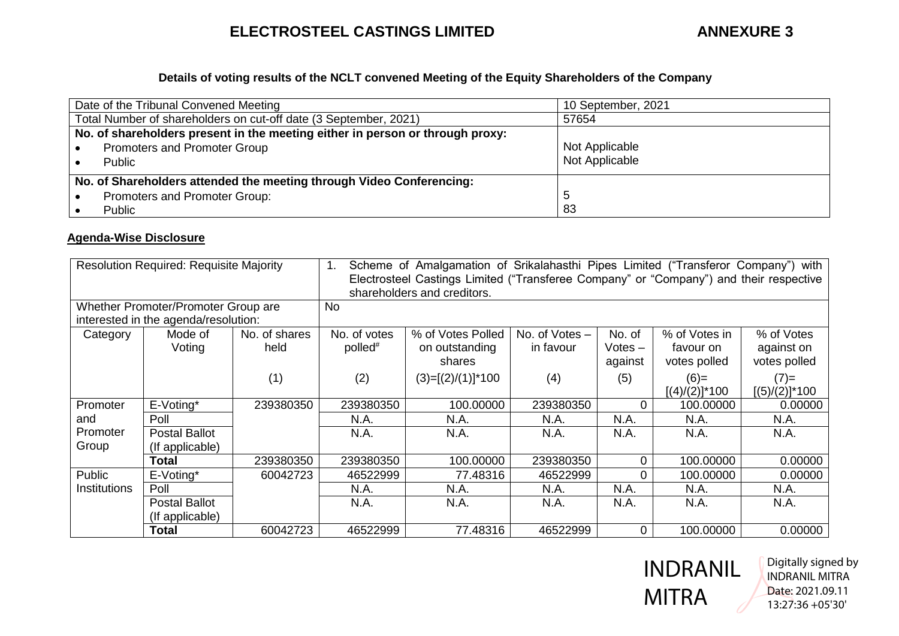# **ELECTROSTEEL CASTINGS LIMITED ANNEXURE 3**

## **Details of voting results of the NCLT convened Meeting of the Equity Shareholders of the Company**

| Date of the Tribunal Convened Meeting                                         | 10 September, 2021 |  |  |
|-------------------------------------------------------------------------------|--------------------|--|--|
| Total Number of shareholders on cut-off date (3 September, 2021)              | 57654              |  |  |
| No. of shareholders present in the meeting either in person or through proxy: |                    |  |  |
| Promoters and Promoter Group                                                  | Not Applicable     |  |  |
| Public                                                                        | Not Applicable     |  |  |
| No. of Shareholders attended the meeting through Video Conferencing:          |                    |  |  |
| Promoters and Promoter Group:                                                 | . 5                |  |  |
| Public                                                                        | 83                 |  |  |

### **Agenda-Wise Disclosure**

| <b>Resolution Required: Requisite Majority</b> |                      | Scheme of Amalgamation of Srikalahasthi Pipes Limited ("Transferor Company") with<br>1.<br>Electrosteel Castings Limited ("Transferee Company" or "Company") and their respective<br>shareholders and creditors. |                     |                      |                  |           |                  |                  |
|------------------------------------------------|----------------------|------------------------------------------------------------------------------------------------------------------------------------------------------------------------------------------------------------------|---------------------|----------------------|------------------|-----------|------------------|------------------|
| Whether Promoter/Promoter Group are            |                      |                                                                                                                                                                                                                  | No                  |                      |                  |           |                  |                  |
| interested in the agenda/resolution:           |                      |                                                                                                                                                                                                                  |                     |                      |                  |           |                  |                  |
| Category                                       | Mode of              | No. of shares                                                                                                                                                                                                    | No. of votes        | % of Votes Polled    | No. of Votes $-$ | No. of    | % of Votes in    | % of Votes       |
|                                                | Voting               | held                                                                                                                                                                                                             | polled <sup>#</sup> | on outstanding       | in favour        | $Votes -$ | favour on        | against on       |
|                                                |                      |                                                                                                                                                                                                                  |                     | shares               |                  | against   | votes polled     | votes polled     |
|                                                |                      | (1)                                                                                                                                                                                                              | (2)                 | $(3)=[(2)/(1)]$ *100 | (4)              | (5)       | $(6)=$           | $(7)$ =          |
|                                                |                      |                                                                                                                                                                                                                  |                     |                      |                  |           | $[(4)/(2)]$ *100 | $[(5)/(2)]$ *100 |
| Promoter                                       | E-Voting*            | 239380350                                                                                                                                                                                                        | 239380350           | 100.00000            | 239380350        | $\Omega$  | 100.00000        | 0.00000          |
| and                                            | Poll                 |                                                                                                                                                                                                                  | N.A.                | N.A.                 | N.A.             | N.A.      | N.A.             | N.A.             |
| Promoter                                       | <b>Postal Ballot</b> |                                                                                                                                                                                                                  | N.A.                | N.A.                 | N.A.             | N.A.      | N.A.             | N.A.             |
| Group                                          | (If applicable)      |                                                                                                                                                                                                                  |                     |                      |                  |           |                  |                  |
|                                                | <b>Total</b>         | 239380350                                                                                                                                                                                                        | 239380350           | 100.00000            | 239380350        | 0         | 100.00000        | 0.00000          |
| Public                                         | E-Voting*            | 60042723                                                                                                                                                                                                         | 46522999            | 77.48316             | 46522999         | $\Omega$  | 100,00000        | 0.00000          |
| Institutions                                   | Poll                 |                                                                                                                                                                                                                  | N.A.                | N.A.                 | N.A.             | N.A.      | N.A.             | N.A.             |
|                                                | <b>Postal Ballot</b> |                                                                                                                                                                                                                  | N.A.                | N.A.                 | N.A.             | N.A.      | N.A.             | N.A.             |
|                                                | (If applicable)      |                                                                                                                                                                                                                  |                     |                      |                  |           |                  |                  |
|                                                | <b>Total</b>         | 60042723                                                                                                                                                                                                         | 46522999            | 77.48316             | 46522999         | $\Omega$  | 100.00000        | 0.00000          |